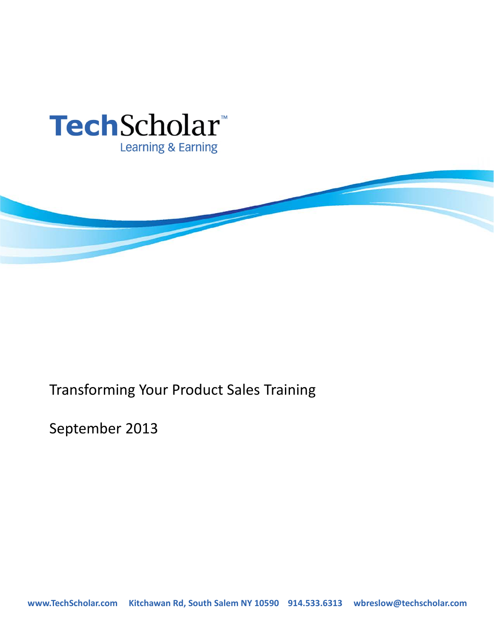



# Transforming Your Product Sales Training

September 2013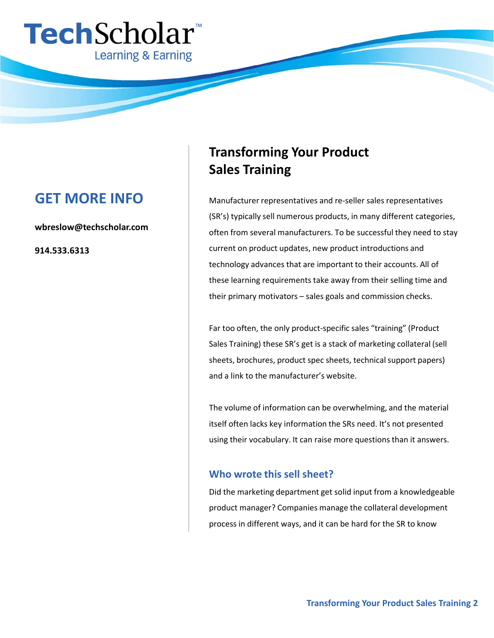

# **GET MORE INFO**

**wbreslow@techscholar.com**

**914.533.6313**

# **Transforming Your Product Sales Training**

Manufacturer representatives and re-seller sales representatives (SR's) typically sell numerous products, in many different categories, often from several manufacturers. To be successful they need to stay current on product updates, new product introductions and technology advances that are important to their accounts. All of these learning requirements take away from their selling time and their primary motivators – sales goals and commission checks.

Far too often, the only product-specific sales "training" (Product Sales Training) these SR's get is a stack of marketing collateral (sell sheets, brochures, product spec sheets, technical support papers) and a link to the manufacturer's website.

The volume of information can be overwhelming, and the material itself often lacks key information the SRs need. It's not presented using their vocabulary. It can raise more questions than it answers.

### **Who wrote this sell sheet?**

Did the marketing department get solid input from a knowledgeable product manager? Companies manage the collateral development process in different ways, and it can be hard for the SR to know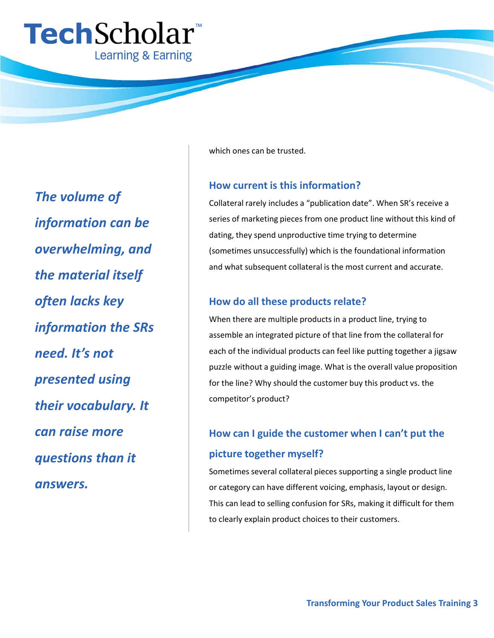

*The volume of information can be overwhelming, and the material itself often lacks key information the SRs need. It's not presented using their vocabulary. It can raise more questions than it answers.*

which ones can be trusted.

#### **How current is this information?**

Collateral rarely includes a "publication date". When SR's receive a series of marketing pieces from one product line without this kind of dating, they spend unproductive time trying to determine (sometimes unsuccessfully) which is the foundational information and what subsequent collateral is the most current and accurate.

### **How do all these products relate?**

When there are multiple products in a product line, trying to assemble an integrated picture of that line from the collateral for each of the individual products can feel like putting together a jigsaw puzzle without a guiding image. What is the overall value proposition for the line? Why should the customer buy this product vs. the competitor's product?

# **How can I guide the customer when I can't put the**

#### **picture together myself?**

Sometimes several collateral pieces supporting a single product line or category can have different voicing, emphasis, layout or design. This can lead to selling confusion for SRs, making it difficult for them to clearly explain product choices to their customers.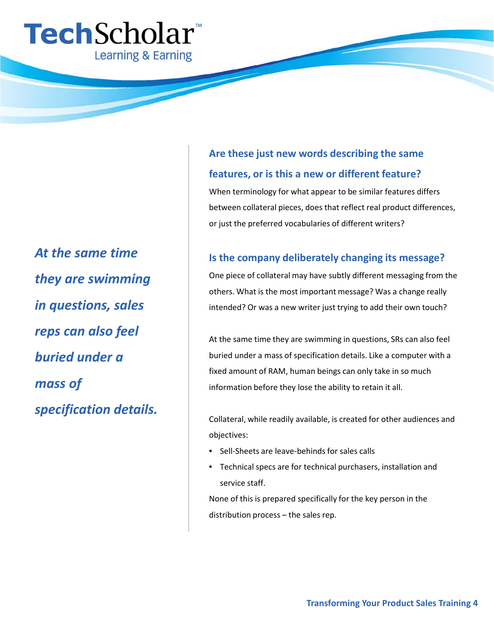

*At the same time they are swimming in questions, sales reps can also feel buried under a mass of specification details.*

# **Are these just new words describing the same features, or is this a new or different feature?**

When terminology for what appear to be similar features differs between collateral pieces, does that reflect real product differences, or just the preferred vocabularies of different writers?

## **Is the company deliberately changing its message?**

One piece of collateral may have subtly different messaging from the others. What is the most important message? Was a change really intended? Or was a new writer just trying to add their own touch?

At the same time they are swimming in questions, SRs can also feel buried under a mass of specification details. Like a computer with a fixed amount of RAM, human beings can only take in so much information before they lose the ability to retain it all.

Collateral, while readily available, is created for other audiences and objectives:

- Sell-Sheets are leave-behinds for sales calls
- Technical specs are for technical purchasers, installation and service staff.

None of this is prepared specifically for the key person in the distribution process – the sales rep.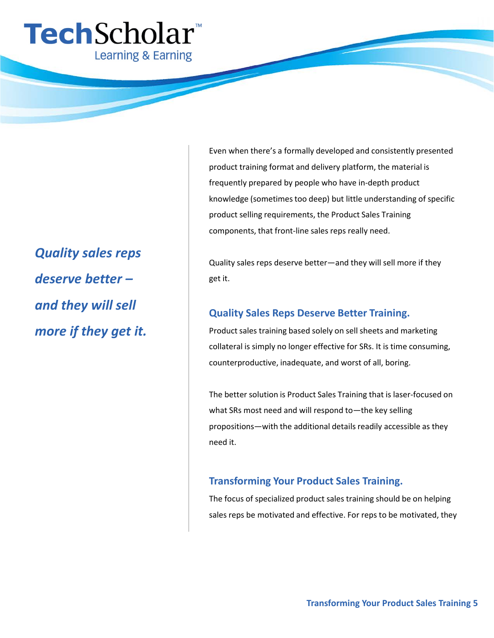

# *Quality sales reps deserve better – and they will sell more if they get it.*

Even when there's a formally developed and consistently presented product training format and delivery platform, the material is frequently prepared by people who have in-depth product knowledge (sometimes too deep) but little understanding of specific product selling requirements, the Product Sales Training components, that front-line sales reps really need.

Quality sales reps deserve better—and they will sell more if they get it.

## **Quality Sales Reps Deserve Better Training.**

Product sales training based solely on sell sheets and marketing collateral is simply no longer effective for SRs. It is time consuming, counterproductive, inadequate, and worst of all, boring.

The better solution is Product Sales Training that is laser-focused on what SRs most need and will respond to—the key selling propositions―with the additional details readily accessible as they need it.

## **Transforming Your Product Sales Training.**

The focus of specialized product sales training should be on helping sales reps be motivated and effective. For reps to be motivated, they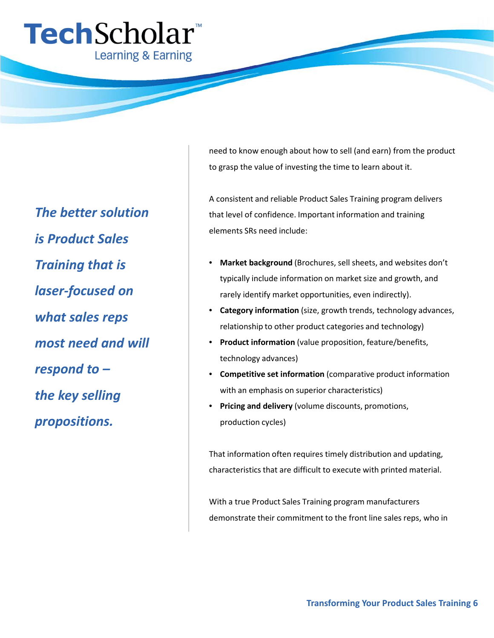

*The better solution is Product Sales Training that is laser-focused on what sales reps most need and will respond to – the key selling propositions.*

need to know enough about how to sell (and earn) from the product to grasp the value of investing the time to learn about it.

A consistent and reliable Product Sales Training program delivers that level of confidence. Important information and training elements SRs need include:

- **Market background** (Brochures, sell sheets, and websites don't typically include information on market size and growth, and rarely identify market opportunities, even indirectly).
- **Category information** (size, growth trends, technology advances, relationship to other product categories and technology)
- **Product information** (value proposition, feature/benefits, technology advances)
- **Competitive set information** (comparative product information with an emphasis on superior characteristics)
- **Pricing and delivery** (volume discounts, promotions, production cycles)

That information often requires timely distribution and updating, characteristics that are difficult to execute with printed material.

With a true Product Sales Training program manufacturers demonstrate their commitment to the front line sales reps, who in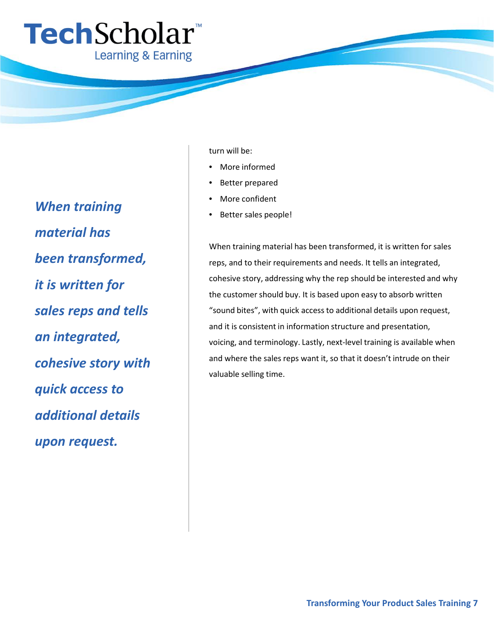

*When training material has been transformed, it is written for sales reps and tells an integrated, cohesive story with quick access to additional details upon request.*

#### turn will be:

- More informed
- Better prepared
- More confident
- Better sales people!

When training material has been transformed, it is written for sales reps, and to their requirements and needs. It tells an integrated, cohesive story, addressing why the rep should be interested and why the customer should buy. It is based upon easy to absorb written "sound bites", with quick access to additional details upon request, and it is consistent in information structure and presentation, voicing, and terminology. Lastly, next-level training is available when and where the sales reps want it, so that it doesn't intrude on their valuable selling time.